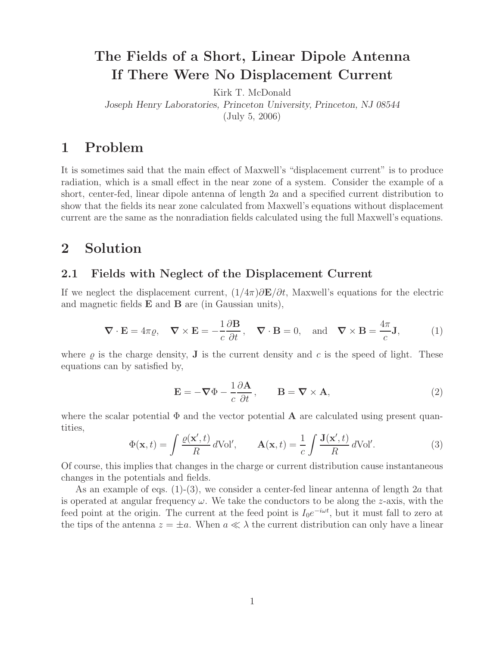## **The Fields of a Short, Linear Dipole Antenna If There Were No Displacement Current**

Kirk T. McDonald

*Joseph Henry Laboratories, Princeton University, Princeton, NJ 08544*

(July 5, 2006)

## **1 Problem**

It is sometimes said that the main effect of Maxwell's "displacement current" is to produce radiation, which is a small effect in the near zone of a system. Consider the example of a short, center-fed, linear dipole antenna of length 2a and a specified current distribution to show that the fields its near zone calculated from Maxwell's equations without displacement current are the same as the nonradiation fields calculated using the full Maxwell's equations.

### **2 Solution**

#### **2.1 Fields with Neglect of the Displacement Current**

If we neglect the displacement current,  $(1/4\pi)\partial \mathbf{E}/\partial t$ , Maxwell's equations for the electric and magnetic fields **E** and **B** are (in Gaussian units),

$$
\nabla \cdot \mathbf{E} = 4\pi \varrho, \quad \nabla \times \mathbf{E} = -\frac{1}{c} \frac{\partial \mathbf{B}}{\partial t}, \quad \nabla \cdot \mathbf{B} = 0, \text{ and } \nabla \times \mathbf{B} = \frac{4\pi}{c} \mathbf{J}, \tag{1}
$$

where  $\rho$  is the charge density, **J** is the current density and c is the speed of light. These equations can by satisfied by,

$$
\mathbf{E} = -\nabla \Phi - \frac{1}{c} \frac{\partial \mathbf{A}}{\partial t}, \qquad \mathbf{B} = \nabla \times \mathbf{A}, \tag{2}
$$

where the scalar potential  $\Phi$  and the vector potential **A** are calculated using present quantities,

$$
\Phi(\mathbf{x},t) = \int \frac{\varrho(\mathbf{x}',t)}{R} d\text{Vol}', \qquad \mathbf{A}(\mathbf{x},t) = \frac{1}{c} \int \frac{\mathbf{J}(\mathbf{x}',t)}{R} d\text{Vol}'. \tag{3}
$$

Of course, this implies that changes in the charge or current distribution cause instantaneous changes in the potentials and fields.

As an example of eqs.  $(1)-(3)$ , we consider a center-fed linear antenna of length 2a that is operated at angular frequency  $\omega$ . We take the conductors to be along the z-axis, with the feed point at the origin. The current at the feed point is  $I_0e^{-i\omega t}$ , but it must fall to zero at the tips of the antenna  $z = \pm a$ . When  $a \ll \lambda$  the current distribution can only have a linear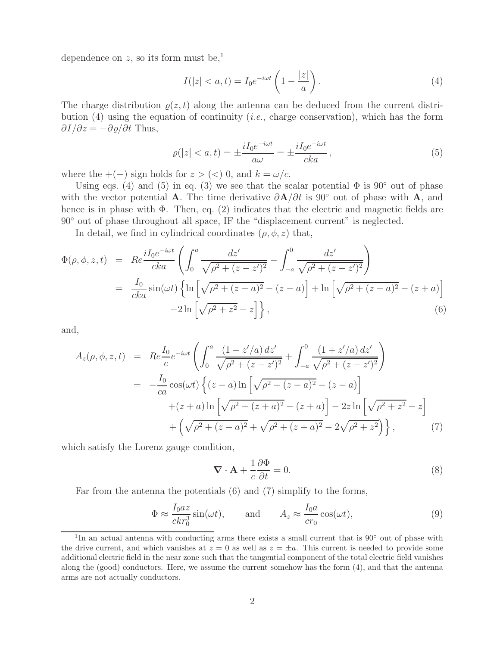dependence on z, so its form must be,<sup>1</sup>

$$
I(|z| < a, t) = I_0 e^{-i\omega t} \left( 1 - \frac{|z|}{a} \right). \tag{4}
$$

The charge distribution  $\rho(z, t)$  along the antenna can be deduced from the current distribution (4) using the equation of continuity (*i.e.*, charge conservation), which has the form  $\partial I/\partial z = -\partial \varrho/\partial t$  Thus,

$$
\varrho(|z| < a, t) = \pm \frac{i I_0 e^{-i\omega t}}{a\omega} = \pm \frac{i I_0 e^{-i\omega t}}{cka},\tag{5}
$$

where the  $+(-)$  sign holds for  $z > (<) 0$ , and  $k = \omega/c$ .

Using eqs. (4) and (5) in eq. (3) we see that the scalar potential  $\Phi$  is 90 $\degree$  out of phase with the vector potential **A**. The time derivative ∂**A**/∂t is 90◦ out of phase with **A**, and hence is in phase with  $\Phi$ . Then, eq. (2) indicates that the electric and magnetic fields are 90◦ out of phase throughout all space, IF the "displacement current" is neglected.

In detail, we find in cylindrical coordinates  $(\rho, \phi, z)$  that,

$$
\Phi(\rho,\phi,z,t) = Re \frac{iI_0 e^{-i\omega t}}{cka} \left( \int_0^a \frac{dz'}{\sqrt{\rho^2 + (z-z')^2}} - \int_{-a}^0 \frac{dz'}{\sqrt{\rho^2 + (z-z')^2}} \right)
$$
  
\n
$$
= \frac{I_0}{cka} \sin(\omega t) \left\{ \ln \left[ \sqrt{\rho^2 + (z-a)^2} - (z-a) \right] + \ln \left[ \sqrt{\rho^2 + (z+a)^2} - (z+a) \right] -2\ln \left[ \sqrt{\rho^2 + z^2} - z \right] \right\},
$$
\n(6)

and,

$$
A_{z}(\rho,\phi,z,t) = Re \frac{I_{0}}{c} e^{-i\omega t} \left( \int_{0}^{a} \frac{(1-z'/a) dz'}{\sqrt{\rho^{2} + (z-z')^{2}}} + \int_{-a}^{0} \frac{(1+z'/a) dz'}{\sqrt{\rho^{2} + (z-z')^{2}}} \right)
$$
  

$$
= -\frac{I_{0}}{ca} cos(\omega t) \left\{ (z-a) \ln \left[ \sqrt{\rho^{2} + (z-a)^{2}} - (z-a) \right] + (z+a) \ln \left[ \sqrt{\rho^{2} + (z+a)^{2}} - (z+a) \right] - 2z \ln \left[ \sqrt{\rho^{2} + z^{2}} - z \right] + \left( \sqrt{\rho^{2} + (z-a)^{2}} + \sqrt{\rho^{2} + (z+a)^{2}} - 2\sqrt{\rho^{2} + z^{2}} \right) \right\}, \tag{7}
$$

which satisfy the Lorenz gauge condition,

$$
\nabla \cdot \mathbf{A} + \frac{1}{c} \frac{\partial \Phi}{\partial t} = 0.
$$
 (8)

Far from the antenna the potentials (6) and (7) simplify to the forms,

$$
\Phi \approx \frac{I_0 az}{c k r_0^3} \sin(\omega t), \quad \text{and} \quad A_z \approx \frac{I_0 a}{c r_0} \cos(\omega t), \tag{9}
$$

<sup>1</sup>In an actual antenna with conducting arms there exists a small current that is 90◦ out of phase with the drive current, and which vanishes at  $z = 0$  as well as  $z = \pm a$ . This current is needed to provide some additional electric field in the near zone such that the tangential component of the total electric field vanishes along the (good) conductors. Here, we assume the current somehow has the form (4), and that the antenna arms are not actually conductors.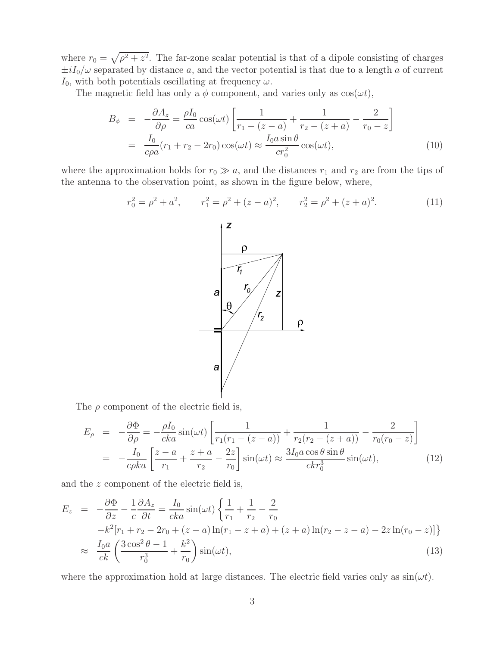where  $r_0 = \sqrt{\rho^2 + z^2}$ . The far-zone scalar potential is that of a dipole consisting of charges  $\pm iI_0/\omega$  separated by distance a, and the vector potential is that due to a length a of current  $I_0$ , with both potentials oscillating at frequency  $\omega$ .

The magnetic field has only a  $\phi$  component, and varies only as  $\cos(\omega t)$ ,

$$
B_{\phi} = -\frac{\partial A_z}{\partial \rho} = \frac{\rho I_0}{ca} \cos(\omega t) \left[ \frac{1}{r_1 - (z - a)} + \frac{1}{r_2 - (z + a)} - \frac{2}{r_0 - z} \right]
$$
  

$$
= \frac{I_0}{c\rho a} (r_1 + r_2 - 2r_0) \cos(\omega t) \approx \frac{I_0 a \sin \theta}{c r_0^2} \cos(\omega t), \tag{10}
$$

where the approximation holds for  $r_0 \gg a$ , and the distances  $r_1$  and  $r_2$  are from the tips of the antenna to the observation point, as shown in the figure below, where,

$$
r_0^2 = \rho^2 + a^2, \qquad r_1^2 = \rho^2 + (z - a)^2, \qquad r_2^2 = \rho^2 + (z + a)^2.
$$
 (11)

The  $\rho$  component of the electric field is,

$$
E_{\rho} = -\frac{\partial \Phi}{\partial \rho} = -\frac{\rho I_0}{cka} \sin(\omega t) \left[ \frac{1}{r_1(r_1 - (z - a))} + \frac{1}{r_2(r_2 - (z + a))} - \frac{2}{r_0(r_0 - z)} \right]
$$
  
= 
$$
-\frac{I_0}{c\rho ka} \left[ \frac{z - a}{r_1} + \frac{z + a}{r_2} - \frac{2z}{r_0} \right] \sin(\omega t) \approx \frac{3I_0 a \cos \theta \sin \theta}{c k r_0^3} \sin(\omega t),
$$
 (12)

and the z component of the electric field is,

$$
E_z = -\frac{\partial \Phi}{\partial z} - \frac{1}{c} \frac{\partial A_z}{\partial t} = \frac{I_0}{cka} \sin(\omega t) \left\{ \frac{1}{r_1} + \frac{1}{r_2} - \frac{2}{r_0} -k^2 [r_1 + r_2 - 2r_0 + (z - a) \ln(r_1 - z + a) + (z + a) \ln(r_2 - z - a) - 2z \ln(r_0 - z)] \right\}
$$
  

$$
\approx \frac{I_0 a}{ck} \left( \frac{3 \cos^2 \theta - 1}{r_0^3} + \frac{k^2}{r_0} \right) \sin(\omega t), \tag{13}
$$

where the approximation hold at large distances. The electric field varies only as  $sin(\omega t)$ .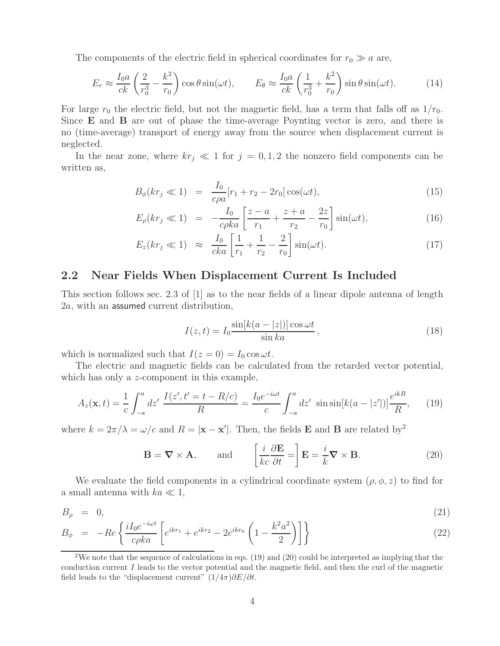The components of the electric field in spherical coordinates for  $r_0 \gg a$  are,

$$
E_r \approx \frac{I_0 a}{ck} \left(\frac{2}{r_0^3} - \frac{k^2}{r_0}\right) \cos\theta \sin(\omega t), \qquad E_\theta \approx \frac{I_0 a}{ck} \left(\frac{1}{r_0^3} + \frac{k^2}{r_0}\right) \sin\theta \sin(\omega t). \tag{14}
$$

For large  $r_0$  the electric field, but not the magnetic field, has a term that falls off as  $1/r_0$ . Since **E** and **B** are out of phase the time-average Poynting vector is zero, and there is no (time-average) transport of energy away from the source when displacement current is neglected.

In the near zone, where  $kr_j \ll 1$  for  $j = 0, 1, 2$  the nonzero field components can be written as,

$$
B_{\phi}(kr_j \ll 1) = \frac{I_0}{c\rho a}[r_1 + r_2 - 2r_0] \cos(\omega t), \qquad (15)
$$

$$
E_{\rho}(kr_j \ll 1) = -\frac{I_0}{c\rho ka} \left[ \frac{z-a}{r_1} + \frac{z+a}{r_2} - \frac{2z}{r_0} \right] \sin(\omega t), \tag{16}
$$

$$
E_z(kr_j \ll 1) \approx \frac{I_0}{cka} \left[ \frac{1}{r_1} + \frac{1}{r_2} - \frac{2}{r_0} \right] \sin(\omega t). \tag{17}
$$

### **2.2 Near Fields When Displacement Current Is Included**

This section follows sec. 2.3 of [1] as to the near fields of a linear dipole antenna of length 2a, with an assumed current distribution,

$$
I(z,t) = I_0 \frac{\sin[k(a - |z|)] \cos \omega t}{\sin ka},
$$
\n(18)

which is normalized such that  $I(z = 0) = I_0 \cos \omega t$ .

The electric and magnetic fields can be calculated from the retarded vector potential, which has only a z-component in this example,

$$
A_z(\mathbf{x},t) = \frac{1}{c} \int_{-a}^{a} dz' \, \frac{I(z',t'=t-R/c)}{R} = \frac{I_0 e^{-i\omega t}}{c} \int_{-a}^{a} dz' \, \sin\sin[k(a-|z'])] \frac{e^{ikR}}{R},\qquad(19)
$$

where  $k = 2\pi/\lambda = \omega/c$  and  $R = |\mathbf{x} - \mathbf{x}'|$ . Then, the fields **E** and **B** are related by<sup>2</sup>

$$
\mathbf{B} = \nabla \times \mathbf{A}, \quad \text{and} \quad \left[\frac{i}{kc}\frac{\partial \mathbf{E}}{\partial t} = \right] \mathbf{E} = \frac{i}{k}\nabla \times \mathbf{B}.
$$
 (20)

We evaluate the field components in a cylindrical coordinate system  $(\rho, \phi, z)$  to find for a small antenna with  $ka \ll 1$ ,

$$
B_{\rho} = 0, \tag{21}
$$

$$
B_{\phi} = -Re \left\{ \frac{i I_0 e^{-i\omega t}}{c\rho k a} \left[ e^{ikr_1} + e^{ikr_2} - 2e^{ikr_0} \left( 1 - \frac{k^2 a^2}{2} \right) \right] \right\}
$$
 (22)

<sup>&</sup>lt;sup>2</sup>We note that the sequence of calculations in eqs. (19) and (20) could be interpreted as implying that the conduction current I leads to the vector potential and the magnetic field, and then the curl of the magnetic field leads to the "displacement current"  $(1/4\pi)\partial E/\partial t$ .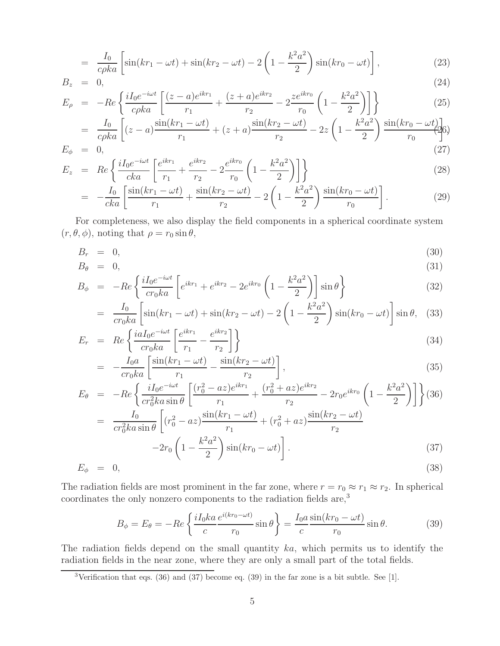$$
= \frac{I_0}{c\rho ka} \left[ \sin(kr_1 - \omega t) + \sin(kr_2 - \omega t) - 2\left(1 - \frac{k^2 a^2}{2}\right) \sin(kr_0 - \omega t) \right],
$$
\n(23)

$$
B_z = 0,
$$
  
\n
$$
E_z = -Re \left\{ \frac{iI_0 e^{-i\omega t}}{2} \left[ \frac{(z-a)e^{ikr_1}}{2} + \frac{(z+a)e^{ikr_2}}{2} - 2 \frac{ze^{ikr_0}}{2} \left( 1 - \frac{k^2 a^2}{2} \right) \right] \right\}
$$
\n(24)

$$
E_{\rho} = -Re \left\{ \frac{iI_0 e^{-i\omega t}}{c\rho ka} \left[ \frac{(z-a)e^{ikr_1}}{r_1} + \frac{(z+a)e^{ikr_2}}{r_2} - 2 \frac{ze^{ikr_0}}{r_0} \left( 1 - \frac{k^2 a^2}{2} \right) \right] \right\}
$$
  
= 
$$
\frac{I_0}{r_0} \left[ \frac{(z-a)\sin(kr_1 - \omega t)}{(z-a)\sin(kr_1 - \omega t)} + \frac{(z+a)\sin(kr_2 - \omega t)}{(z+a)\sin(kr_2 - \omega t)} - 2z \left( 1 - \frac{k^2 a^2}{2} \right) \frac{\sin(kr_0 - \omega t)}{(z-a)\sin(kr_0 - \omega t)} \right]
$$
(25)

$$
= \frac{I_0}{c\rho ka} \left[ (z-a)\frac{\sin(kr_1 - \omega t)}{r_1} + (z+a)\frac{\sin(kr_2 - \omega t)}{r_2} - 2z \left( 1 - \frac{k^2 a^2}{2} \right) \frac{\sin(kr_0 - \omega t)}{r_0} \right] \tag{27}
$$

$$
E_z = Re \left\{ \frac{i I_0 e^{-i\omega t}}{cka} \left[ \frac{e^{ikr_1}}{r_1} + \frac{e^{ikr_2}}{r_2} - 2 \frac{e^{ikr_0}}{r_0} \left( 1 - \frac{k^2 a^2}{2} \right) \right] \right\}
$$
(28)

$$
= -\frac{I_0}{cka} \left[ \frac{\sin(kr_1 - \omega t)}{r_1} + \frac{\sin(kr_2 - \omega t)}{r_2} - 2\left(1 - \frac{k^2 a^2}{2}\right) \frac{\sin(kr_0 - \omega t)}{r_0} \right].
$$
 (29)

For completeness, we also display the field components in a spherical coordinate system  $(r, \theta, \phi)$ , noting that  $\rho = r_0 \sin \theta$ ,

$$
B_r = 0,\t\t(30)
$$

$$
B_{\theta} = 0, \tag{31}
$$

$$
B_{\phi} = -Re \left\{ \frac{iI_0 e^{-i\omega t}}{cr_0 ka} \left[ e^{ikr_1} + e^{ikr_2} - 2e^{ikr_0} \left( 1 - \frac{k^2 a^2}{2} \right) \right] \sin \theta \right\}
$$
(32)

$$
= \frac{I_0}{cr_0ka} \left[ \sin(kr_1 - \omega t) + \sin(kr_2 - \omega t) - 2\left(1 - \frac{k^2a^2}{2}\right) \sin(kr_0 - \omega t) \right] \sin \theta, \quad (33)
$$

$$
E_r = Re \left\{ \frac{i a I_0 e^{-i \omega t}}{c r_0 k a} \left[ \frac{e^{i k r_1}}{r_1} - \frac{e^{i k r_2}}{r_2} \right] \right\}
$$
(34)

$$
= -\frac{I_0 a}{cr_0 ka} \left[ \frac{\sin(kr_1 - \omega t)}{r_1} - \frac{\sin(kr_2 - \omega t)}{r_2} \right],\tag{35}
$$

$$
E_{\theta} = -Re \left\{ \frac{iI_0 e^{-i\omega t}}{cr_0^2 ka \sin \theta} \left[ \frac{(r_0^2 - az)e^{ikr_1}}{r_1} + \frac{(r_0^2 + az)e^{ikr_2}}{r_2} - 2r_0 e^{ikr_0} \left( 1 - \frac{k^2 a^2}{2} \right) \right] \right\} (36)
$$
  

$$
= \frac{I_0}{cr_0^2 ka \sin \theta} \left[ (r_0^2 - az) \frac{\sin(kr_1 - \omega t)}{r_1} + (r_0^2 + az) \frac{\sin(kr_2 - \omega t)}{r_2} - 2r_0 \left( 1 - \frac{k^2 a^2}{2} \right) \sin(kr_0 - \omega t) \right].
$$
 (37)

$$
E_{\phi} = 0, \tag{38}
$$

The radiation fields are most prominent in the far zone, where  $r = r_0 \approx r_1 \approx r_2$ . In spherical coordinates the only nonzero components to the radiation fields are,<sup>3</sup>

$$
B_{\phi} = E_{\theta} = -Re\left\{\frac{iI_0ka}{c}\frac{e^{i(kr_0 - \omega t)}}{r_0}\sin\theta\right\} = \frac{I_0a}{c}\frac{\sin(kr_0 - \omega t)}{r_0}\sin\theta. \tag{39}
$$

The radiation fields depend on the small quantity ka, which permits us to identify the radiation fields in the near zone, where they are only a small part of the total fields.

<sup>&</sup>lt;sup>3</sup>Verification that eqs. (36) and (37) become eq. (39) in the far zone is a bit subtle. See [1].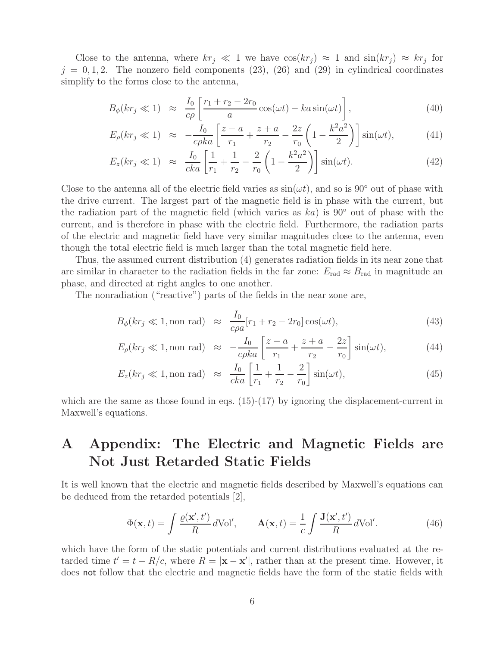Close to the antenna, where  $kr_j \ll 1$  we have  $\cos(kr_j) \approx 1$  and  $\sin(kr_j) \approx kr_j$  for  $j = 0, 1, 2$ . The nonzero field components (23), (26) and (29) in cylindrical coordinates simplify to the forms close to the antenna,

$$
B_{\phi}(kr_j \ll 1) \approx \frac{I_0}{c\rho} \left[ \frac{r_1 + r_2 - 2r_0}{a} \cos(\omega t) - ka \sin(\omega t) \right],
$$
 (40)

$$
E_{\rho}(kr_j \ll 1) \approx -\frac{I_0}{c\rho ka} \left[ \frac{z-a}{r_1} + \frac{z+a}{r_2} - \frac{2z}{r_0} \left( 1 - \frac{k^2 a^2}{2} \right) \right] \sin(\omega t), \tag{41}
$$

$$
E_z(kr_j \ll 1) \approx \frac{I_0}{cka} \left[ \frac{1}{r_1} + \frac{1}{r_2} - \frac{2}{r_0} \left( 1 - \frac{k^2 a^2}{2} \right) \right] \sin(\omega t). \tag{42}
$$

Close to the antenna all of the electric field varies as  $sin(\omega t)$ , and so is 90° out of phase with the drive current. The largest part of the magnetic field is in phase with the current, but the radiation part of the magnetic field (which varies as  $ka$ ) is 90 $\degree$  out of phase with the current, and is therefore in phase with the electric field. Furthermore, the radiation parts of the electric and magnetic field have very similar magnitudes close to the antenna, even though the total electric field is much larger than the total magnetic field here.

Thus, the assumed current distribution (4) generates radiation fields in its near zone that are similar in character to the radiation fields in the far zone:  $E_{rad} \approx B_{rad}$  in magnitude an phase, and directed at right angles to one another.

The nonradiation ("reactive") parts of the fields in the near zone are,

$$
B_{\phi}(kr_j \ll 1, \text{non rad}) \approx \frac{I_0}{c\rho a}[r_1 + r_2 - 2r_0] \cos(\omega t), \tag{43}
$$

$$
E_{\rho}(kr_j \ll 1, \text{non rad}) \approx -\frac{I_0}{c\rho ka} \left[ \frac{z-a}{r_1} + \frac{z+a}{r_2} - \frac{2z}{r_0} \right] \sin(\omega t), \tag{44}
$$

$$
E_z(kr_j \ll 1, \text{non rad}) \approx \frac{I_0}{cka} \left[ \frac{1}{r_1} + \frac{1}{r_2} - \frac{2}{r_0} \right] \sin(\omega t), \tag{45}
$$

which are the same as those found in eqs.  $(15)-(17)$  by ignoring the displacement-current in Maxwell's equations.

# **A Appendix: The Electric and Magnetic Fields are Not Just Retarded Static Fields**

It is well known that the electric and magnetic fields described by Maxwell's equations can be deduced from the retarded potentials [2],

$$
\Phi(\mathbf{x},t) = \int \frac{\varrho(\mathbf{x}',t')}{R} d\text{Vol}', \qquad \mathbf{A}(\mathbf{x},t) = \frac{1}{c} \int \frac{\mathbf{J}(\mathbf{x}',t')}{R} d\text{Vol}'. \tag{46}
$$

which have the form of the static potentials and current distributions evaluated at the retarded time  $t' = t - R/c$ , where  $R = |\mathbf{x} - \mathbf{x}'|$ , rather than at the present time. However, it does not follow that the electric and magnetic fields have the form of the static fields with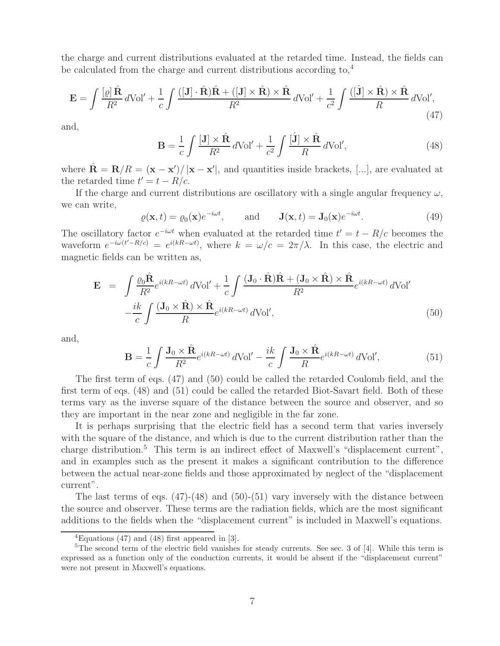the charge and current distributions evaluated at the retarded time. Instead, the fields can be calculated from the charge and current distributions according to,<sup>4</sup>

$$
\mathbf{E} = \int \frac{[\varrho] \,\hat{\mathbf{R}}}{R^2} \, d\text{Vol}' + \frac{1}{c} \int \frac{([\mathbf{J}] \cdot \hat{\mathbf{R}}) \hat{\mathbf{R}} + ([\mathbf{J}] \times \hat{\mathbf{R}}) \times \hat{\mathbf{R}}}{R^2} \, d\text{Vol}' + \frac{1}{c^2} \int \frac{([\mathbf{J}] \times \hat{\mathbf{R}}) \times \hat{\mathbf{R}}}{R} \, d\text{Vol}',\tag{47}
$$

and,

$$
\mathbf{B} = \frac{1}{c} \int \frac{[\mathbf{J}] \times \hat{\mathbf{R}}}{R^2} d\text{Vol}' + \frac{1}{c^2} \int \frac{[\dot{\mathbf{J}}] \times \hat{\mathbf{R}}}{R} d\text{Vol}',\tag{48}
$$

where  $\hat{\mathbf{R}} = \mathbf{R}/R = (\mathbf{x} - \mathbf{x}')$  $\frac{1}{2}$  |**x** − **x**'|, and quantities inside brackets, [...], are evaluated at the retarded time  $t' = t - R/c$ .

If the charge and current distributions are oscillatory with a single angular frequency  $\omega$ , we can write,

$$
\varrho(\mathbf{x},t) = \varrho_0(\mathbf{x})e^{-i\omega t}, \quad \text{and} \quad \mathbf{J}(\mathbf{x},t) = \mathbf{J}_0(\mathbf{x})e^{-i\omega t}.
$$
\n(49)

The oscillatory factor  $e^{-i\omega t}$  when evaluated at the retarded time  $t'=t-R/c$  becomes the waveform  $e^{-i\omega(t'-R/c)} = e^{i(kR-\omega t)}$ , where  $k = \omega/c = 2\pi/\lambda$ . In this case, the electric and magnetic fields can be written as,

$$
\mathbf{E} = \int \frac{\varrho_0 \hat{\mathbf{R}}}{R^2} e^{i(kR - \omega t)} d\text{Vol}' + \frac{1}{c} \int \frac{(\mathbf{J}_0 \cdot \hat{\mathbf{R}}) \hat{\mathbf{R}} + (\mathbf{J}_0 \times \hat{\mathbf{R}}) \times \hat{\mathbf{R}}}{R^2} e^{i(kR - \omega t)} d\text{Vol}'
$$

$$
- \frac{ik}{c} \int \frac{(\mathbf{J}_0 \times \hat{\mathbf{R}}) \times \hat{\mathbf{R}}}{R} e^{i(kR - \omega t)} d\text{Vol}', \tag{50}
$$

and,

$$
\mathbf{B} = \frac{1}{c} \int \frac{\mathbf{J}_0 \times \hat{\mathbf{R}}}{R^2} e^{i(kR - \omega t)} d\text{Vol}' - \frac{ik}{c} \int \frac{\mathbf{J}_0 \times \hat{\mathbf{R}}}{R} e^{i(kR - \omega t)} d\text{Vol}',\tag{51}
$$

The first term of eqs. (47) and (50) could be called the retarded Coulomb field, and the first term of eqs. (48) and (51) could be called the retarded Biot-Savart field. Both of these terms vary as the inverse square of the distance between the source and observer, and so they are important in the near zone and negligible in the far zone.

It is perhaps surprising that the electric field has a second term that varies inversely with the square of the distance, and which is due to the current distribution rather than the charge distribution.<sup>5</sup> This term is an indirect effect of Maxwell's "displacement current", and in examples such as the present it makes a significant contribution to the difference between the actual near-zone fields and those approximated by neglect of the "displacement current".

The last terms of eqs.  $(47)-(48)$  and  $(50)-(51)$  vary inversely with the distance between the source and observer. These terms are the radiation fields, which are the most significant additions to the fields when the "displacement current" is included in Maxwell's equations.

 ${}^{4}$ Equations (47) and (48) first appeared in [3].

<sup>&</sup>lt;sup>5</sup>The second term of the electric field vanishes for steady currents. See sec. 3 of [4]. While this term is expressed as a function only of the conduction currents, it would be absent if the "displacement current" were not present in Maxwell's equations.